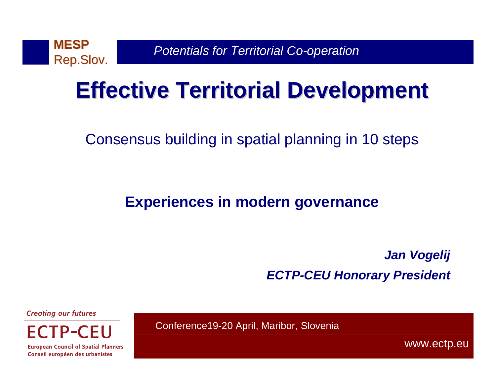

## **Effective Territorial Development**

Consensus building in spatial planning in 10 steps

#### **Experiences in modern governance**

**Jan VogelijECTP-CEU Honorary President**

**Creating our futures** 

**European Council of Spatial Planners** Conseil européen des urbanistes

Conference19-20 April, Maribor, Slovenia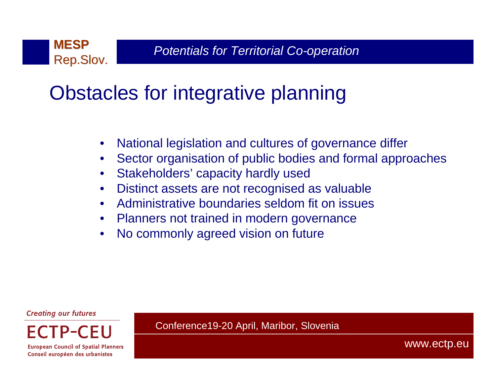### Obstacles for integrative planning

- •National legislation and cultures of governance differ
- •Sector organisation of public bodies and formal approaches
- $\bullet$ Stakeholders' capacity hardly used
- $\bullet$ Distinct assets are not recognised as valuable
- Administrative boundaries seldom fit on issues•
- Planners not trained in modern governance
- •No commonly agreed vision on future

**Creating our futures** 

**European Council of Spatial Planners** 

Conseil européen des urbanistes

Conference19-20 April, Maribor, Slovenia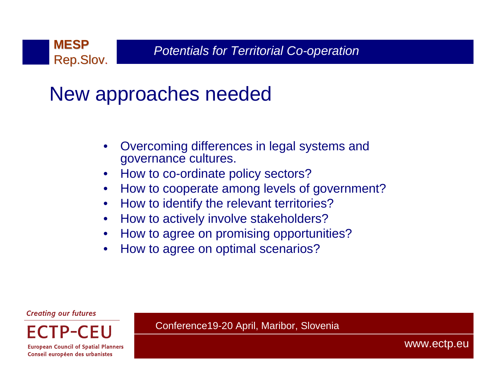

### New approaches needed

- • Overcoming differences in legal systems and governance cultures.
- •How to co-ordinate policy sectors?
- How to cooperate among levels of government? $\bullet$
- $\bullet$ How to identify the relevant territories?
- How to actively involve stakeholders?•
- How to agree on promising opportunities?•
- •How to agree on optimal scenarios?

**Creating our futures** 

**European Council of Spatial Planners** 

Conseil européen des urbanistes

Conference19-20 April, Maribor, Slovenia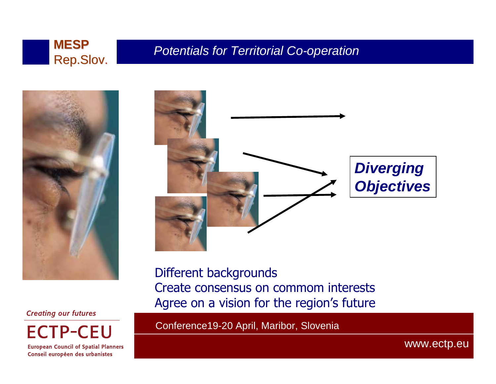



#### **Creating our futures**

**ECTP-CEU** 

**European Council of Spatial Planners** Conseil européen des urbanistes



Different backgrounds Create consensus on commom interestsAgree on a vision for the region's future

Conference19-20 April, Maribor, Slovenia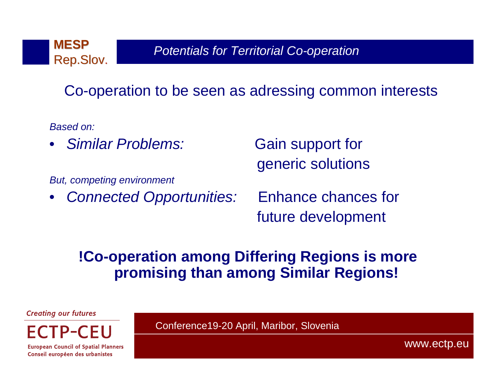

Co-operation to be seen as adressing common interests

Based on:

•Similar Problems: Gain support for

But, competing environment

•Connected Opportunities: Enhance chances for

generic solutions

future development

#### **!Co-operation among Differing Regions is more promising than among Similar Regions!**

**Creating our futures** 

**European Council of Spatial Planners** 

Conseil européen des urbanistes

Conference19-20 April, Maribor, Slovenia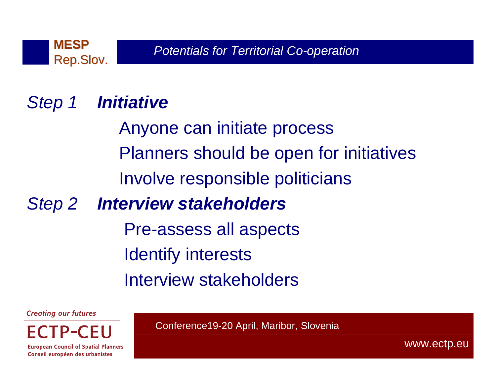

## Step 1 **Initiative**

Anyone can initiate processPlanners should be open for initiativesInvolve responsible politicians

#### Step 2 **Interview stakeholders**

Pre-assess all aspectsIdentify interestsInterview stakeholders

**Creating our futures** 

**European Council of Spatial Planners** 

Conseil européen des urbanistes

Conference19-20 April, Maribor, Slovenia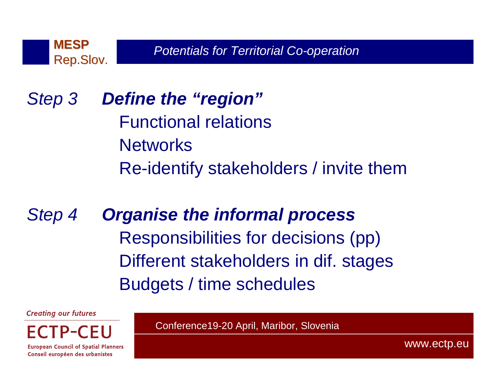

### Step 3 **Define the "region"**Functional relations**Networks** Re-identify stakeholders / invite them

Step 4 **Organise the informal process** Responsibilities for decisions (pp)Different stakeholders in dif. stagesBudgets / time schedules

**Creating our futures** 

**European Council of Spatial Planners** 

Conseil européen des urbanistes

Conference19-20 April, Maribor, Slovenia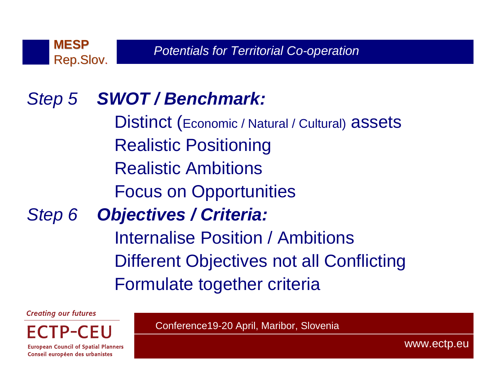

#### Step 5 **SWOT / Benchmark:**

Distinct (Economic / Natural / Cultural) assetsRealistic Positioning Realistic AmbitionsFocus on OpportunitiesStep 6 **Objectives / Criteria:**

Internalise Position / AmbitionsDifferent Objectives not all ConflictingFormulate together criteria

**Creating our futures** 

ECTP-CEU **European Council of Spatial Planners**  Conference19-20 April, Maribor, Slovenia

Conseil européen des urbanistes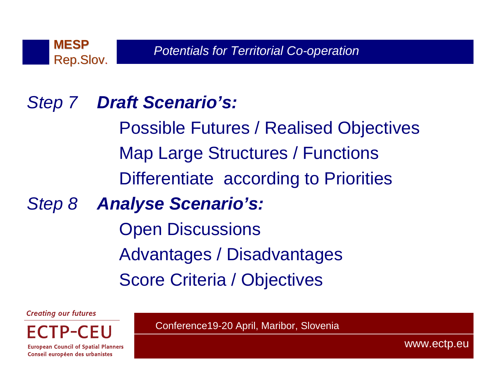

#### Step 7 **Draft Scenario's:**

Possible Futures / Realised Objectives Map Large Structures / Functions Differentiate according to Priorities

Step 8 **Analyse Scenario's:**

Open DiscussionsAdvantages / DisadvantagesScore Criteria / Objectives

**Creating our futures** 

**European Council of Spatial Planners** 

Conseil européen des urbanistes

Conference19-20 April, Maribor, Slovenia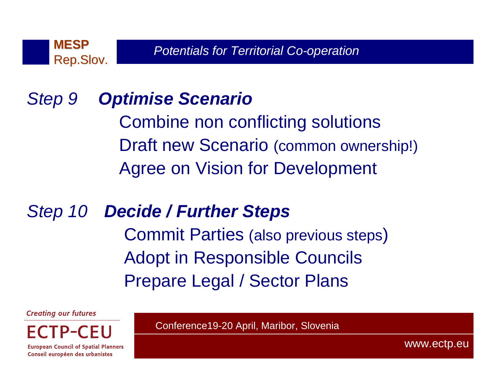

#### Step 9**Optimise Scenario**

 Combine non conflicting solutionsDraft new Scenario (common ownership!)Agree on Vision for Development

Step 10 **Decide / Further Steps** Commit Parties (also previous steps)Adopt in Responsible CouncilsPrepare Legal / Sector Plans

**Creating our futures** 



Conseil européen des urbanistes

Conference19-20 April, Maribor, Slovenia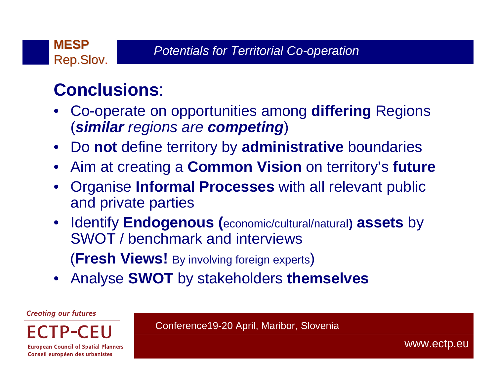#### **Conclusions**:

- • Co-operate on opportunities among **differing** Regions (**similar** regions are **competing**)
- $\bullet$ Do **not** define territory by **administrative** boundaries
- •Aim at creating a **Common Vision** on territory's **future**
- • Organise **Informal Processes** with all relevant public and private parties
- Identify **Endogenous (**economic/cultural/natura**l) assets** by SWOT / benchmark and interviews(**Fresh Views!** By involving foreign experts)
- •Analyse **SWOT** by stakeholders **themselves**

**Creating our futures** 

Conference19-20 April, Maribor, Slovenia

**European Council of Spatial Planners** Conseil européen des urbanistes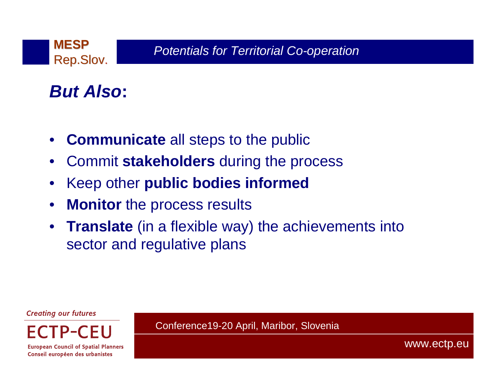

#### **But Also:**

- $\bullet$ **Communicate** all steps to the public
- •Commit **stakeholders** during the process
- $\bullet$ Keep other **public bodies informed**
- $\bullet$ **Monitor** the process results
- **Translate** (in a flexible way) the achievements into sector and regulative plans

Conference19-20 April, Maribor, Slovenia

**Creating our futures** 

**European Council of Spatial Planners** 

Conseil européen des urbanistes